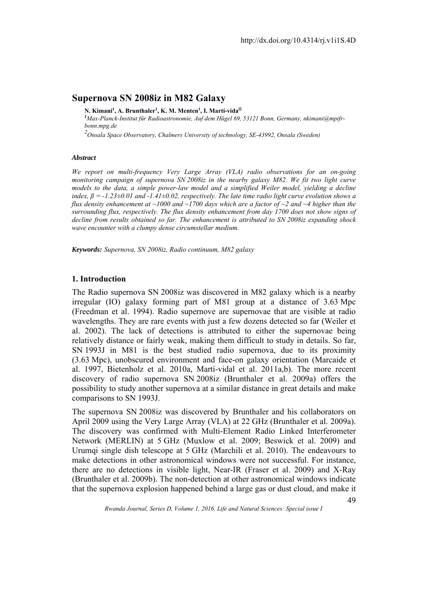# **Supernova SN 2008iz in M82 Galaxy**

**N. Kimani1 , A. Brunthaler1, K. M. Menten1, I. Martí-vidal2**

*1 Max-Planck-Institut fǔr Radioastronomie, Auf dem Hǔgel 69, 53121 Bonn, Germany, nkimani@mpifrbonn.mpg.de* 

*2 Onsala Space Observatory, Chalmers University of technology, SE-43992, Onsala (Sweden)*

#### *Abstract*

*We report on multi-frequency Very Large Array (VLA) radio observations for an on-going monitoring campaign of supernova SN 2008iz in the nearby galaxy M82. We fit two light curve models to the data, a simple power-law model and a simplified Weiler model, yielding a decline index,*  $\beta$  = -1.23 $\pm$ 0.01 and -1.41 $\pm$ 0.02, respectively. The late time radio light curve evolution shows a *flux density enhancement at ~1000 and ~1700 days which are a factor of ~2 and ~4 higher than the surrounding flux, respectively. The flux density enhancement from day 1700 does not show signs of decline from results obtained so far. The enhancement is attributed to SN 2008iz expanding shock wave encounter with a clumpy dense circumstellar medium.* 

*Keywords: Supernova, SN 2008iz, Radio continuum, M82 galaxy*

## **1. Introduction**

The Radio supernova SN 2008iz was discovered in M82 galaxy which is a nearby irregular (IO) galaxy forming part of M81 group at a distance of 3.63 Mpc (Freedman et al. 1994). Radio supernove are supernovae that are visible at radio wavelengths. They are rare events with just a few dozens detected so far (Weiler et al. 2002). The lack of detections is attributed to either the supernovae being relatively distance or fairly weak, making them difficult to study in details. So far, SN 1993J in M81 is the best studied radio supernova, due to its proximity (3.63 Mpc), unobscured environment and face-on galaxy orientation (Marcaide et al. 1997, Bietenholz et al. 2010a, Martí-vidal et al. 2011a,b). The more recent discovery of radio supernova SN 2008iz (Brunthaler et al. 2009a) offers the possibility to study another supernova at a similar distance in great details and make comparisons to SN 1993J.

The supernova SN 2008iz was discovered by Brunthaler and his collaborators on April 2009 using the Very Large Array (VLA) at 22 GHz (Brunthaler et al. 2009a). The discovery was confirmed with Multi-Element Radio Linked Interferometer Network (MERLIN) at 5 GHz (Muxlow et al. 2009; Beswick et al. 2009) and Urumqi single dish telescope at 5 GHz (Marchili et al. 2010). The endeavours to make detections in other astronomical windows were not successful. For instance, there are no detections in visible light, Near-IR (Fraser et al. 2009) and X-Ray (Brunthaler et al. 2009b). The non-detection at other astronomical windows indicate that the supernova explosion happened behind a large gas or dust cloud, and make it

49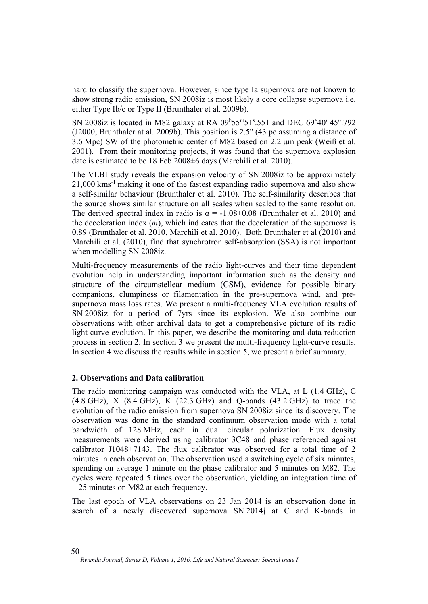hard to classify the supernova. However, since type Ia supernova are not known to show strong radio emission, SN 2008iz is most likely a core collapse supernova i.e. either Type Ib/c or Type II (Brunthaler et al. 2009b).

SN 2008iz is located in M82 galaxy at RA  $09h55m51s.551$  and DEC  $69s40'$  45".792 (J2000, Brunthaler at al. 2009b). This position is 2.5'' (43 pc assuming a distance of 3.6 Mpc) SW of the photometric center of M82 based on 2.2 μm peak (Weiß et al. 2001). From their monitoring projects, it was found that the supernova explosion date is estimated to be 18 Feb 2008±6 days (Marchili et al. 2010).

The VLBI study reveals the expansion velocity of SN 2008iz to be approximately 21,000 kms-1 making it one of the fastest expanding radio supernova and also show a self-similar behaviour (Brunthaler et al. 2010). The self-similarity describes that the source shows similar structure on all scales when scaled to the same resolution. The derived spectral index in radio is  $\alpha = -1.08 \pm 0.08$  (Brunthaler et al. 2010) and the deceleration index (*m*), which indicates that the deceleration of the supernova is 0.89 (Brunthaler et al. 2010, Marchili et al. 2010). Both Brunthaler et al (2010) and Marchili et al. (2010), find that synchrotron self-absorption (SSA) is not important when modelling SN 2008iz.

Multi-frequency measurements of the radio light-curves and their time dependent evolution help in understanding important information such as the density and structure of the circumstellear medium (CSM), evidence for possible binary companions, clumpiness or filamentation in the pre-supernova wind, and presupernova mass loss rates. We present a multi-frequency VLA evolution results of SN 2008iz for a period of 7yrs since its explosion. We also combine our observations with other archival data to get a comprehensive picture of its radio light curve evolution. In this paper, we describe the monitoring and data reduction process in section 2. In section 3 we present the multi-frequency light-curve results. In section 4 we discuss the results while in section 5, we present a brief summary.

# **2. Observations and Data calibration**

The radio monitoring campaign was conducted with the VLA, at L (1.4 GHz), C (4.8 GHz), X (8.4 GHz), K (22.3 GHz) and Q-bands (43.2 GHz) to trace the evolution of the radio emission from supernova SN 2008iz since its discovery. The observation was done in the standard continuum observation mode with a total bandwidth of 128 MHz, each in dual circular polarization. Flux density measurements were derived using calibrator 3C48 and phase referenced against calibrator J1048+7143. The flux calibrator was observed for a total time of 2 minutes in each observation. The observation used a switching cycle of six minutes, spending on average 1 minute on the phase calibrator and 5 minutes on M82. The cycles were repeated 5 times over the observation, yielding an integration time of □25 minutes on M82 at each frequency.

The last epoch of VLA observations on 23 Jan 2014 is an observation done in search of a newly discovered supernova SN 2014j at C and K-bands in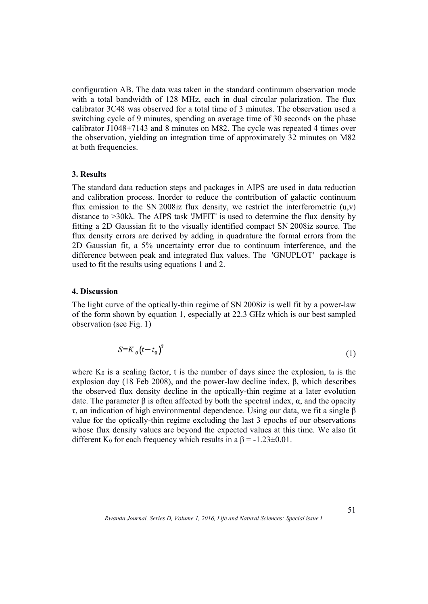configuration AB. The data was taken in the standard continuum observation mode with a total bandwidth of 128 MHz, each in dual circular polarization. The flux calibrator 3C48 was observed for a total time of 3 minutes. The observation used a switching cycle of 9 minutes, spending an average time of 30 seconds on the phase calibrator J1048+7143 and 8 minutes on M82. The cycle was repeated 4 times over the observation, yielding an integration time of approximately 32 minutes on M82 at both frequencies.

### **3. Results**

The standard data reduction steps and packages in AIPS are used in data reduction and calibration process. Inorder to reduce the contribution of galactic continuum flux emission to the SN 2008iz flux density, we restrict the interferometric  $(u,v)$ distance to >30kλ. The AIPS task 'JMFIT' is used to determine the flux density by fitting a 2D Gaussian fit to the visually identified compact SN 2008iz source. The flux density errors are derived by adding in quadrature the formal errors from the 2D Gaussian fit, a 5% uncertainty error due to continuum interference, and the difference between peak and integrated flux values. The 'GNUPLOT' package is used to fit the results using equations 1 and 2.

### **4. Discussion**

The light curve of the optically-thin regime of SN 2008iz is well fit by a power-law of the form shown by equation 1, especially at 22.3 GHz which is our best sampled observation (see Fig. 1)

$$
S = K_o(t - t_o)^\beta \tag{1}
$$

where  $K_0$  is a scaling factor, t is the number of days since the explosion, to is the explosion day (18 Feb 2008), and the power-law decline index, β, which describes the observed flux density decline in the optically-thin regime at a later evolution date. The parameter β is often affected by both the spectral index, α, and the opacity τ, an indication of high environmental dependence. Using our data, we fit a single β value for the optically-thin regime excluding the last 3 epochs of our observations whose flux density values are beyond the expected values at this time. We also fit different K<sub>0</sub> for each frequency which results in a  $\beta = -1.23 \pm 0.01$ .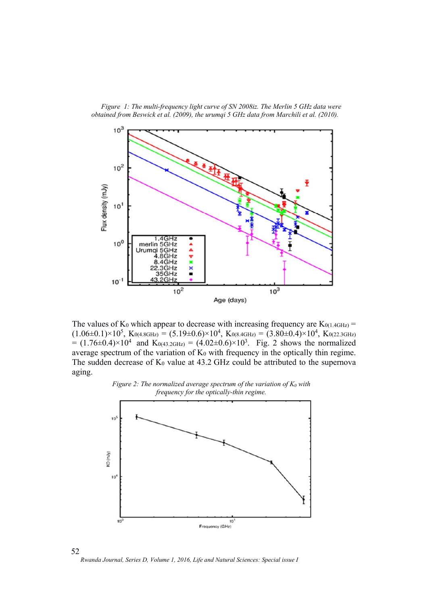

*Figure 1: The multi-frequency light curve of SN 2008iz. The Merlin 5 GHz data were obtained from Beswick et al. (2009), the urumqi 5 GHz data from Marchili et al. (2010).* 

The values of  $K_0$  which appear to decrease with increasing frequency are  $K_{0(1.4GHz)}$  =  $(1.06\pm0.1)\times10^5$ ,  $K_{0(4.8GHz)} = (5.19\pm0.6)\times10^4$ ,  $K_{0(8.4GHz)} = (3.80\pm0.4)\times10^4$ ,  $K_{0(22.3GHz)}$  $= (1.76 \pm 0.4) \times 10^4$  and K<sub>0(43.2GHz)</sub> =  $(4.02 \pm 0.6) \times 10^3$ . Fig. 2 shows the normalized average spectrum of the variation of  $K_0$  with frequency in the optically thin regime. The sudden decrease of  $K_0$  value at 43.2 GHz could be attributed to the supernova aging.





52 *Rwanda Journal, Series D, Volume 1, 2016, Life and Natural Sciences: Special issue I*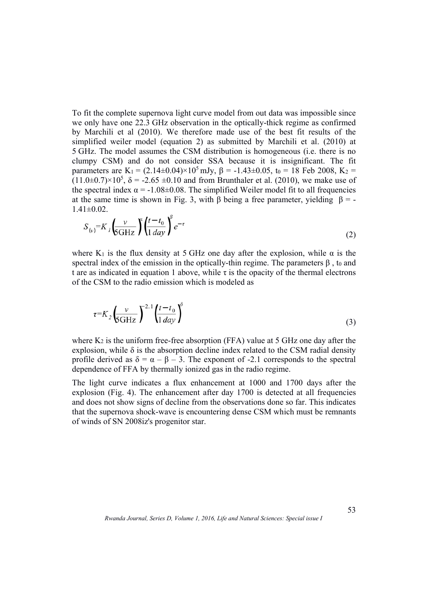To fit the complete supernova light curve model from out data was impossible since we only have one 22.3 GHz observation in the optically-thick regime as confirmed by Marchili et al (2010). We therefore made use of the best fit results of the simplified weiler model (equation 2) as submitted by Marchili et al. (2010) at 5 GHz. The model assumes the CSM distribution is homogeneous (i.e. there is no clumpy CSM) and do not consider SSA because it is insignificant. The fit parameters are K<sub>1</sub> =  $(2.14\pm0.04)\times10^5$  mJv,  $\beta$  = -1.43 $\pm$ 0.05, t<sub>0</sub> = 18 Feb 2008, K<sub>2</sub> =  $(11.0\pm0.7)\times10^5$ ,  $\delta = -2.65 \pm 0.10$  and from Brunthaler et al. (2010), we make use of the spectral index  $\alpha = -1.08 \pm 0.08$ . The simplified Weiler model fit to all frequencies at the same time is shown in Fig. 3, with  $\beta$  being a free parameter, yielding  $\beta$  = - $1.41 \pm 0.02$ .

$$
S_{(v)}=K \int \frac{v}{6GHz} \int \left(\frac{t-t_0}{1 \, day}\right)^v e^{-\tau}
$$
 (2)

where  $K_1$  is the flux density at 5 GHz one day after the explosion, while  $\alpha$  is the spectral index of the emission in the optically-thin regime. The parameters  $\beta$ , to and t are as indicated in equation 1 above, while  $\tau$  is the opacity of the thermal electrons of the CSM to the radio emission which is modeled as

 $\mathbf{z}$ 

$$
\tau = K_2 \left(\frac{v}{6GHz}\right)^{2.1} \left(\frac{t - t_0}{1 \, day}\right)^{6}
$$
\n
$$
\tag{3}
$$

where  $K_2$  is the uniform free-free absorption (FFA) value at 5 GHz one day after the explosion, while  $\delta$  is the absorption decline index related to the CSM radial density profile derived as  $\delta = \alpha - \beta - 3$ . The exponent of -2.1 corresponds to the spectral dependence of FFA by thermally ionized gas in the radio regime.

The light curve indicates a flux enhancement at 1000 and 1700 days after the explosion (Fig. 4). The enhancement after day 1700 is detected at all frequencies and does not show signs of decline from the observations done so far. This indicates that the supernova shock-wave is encountering dense CSM which must be remnants of winds of SN 2008iz's progenitor star.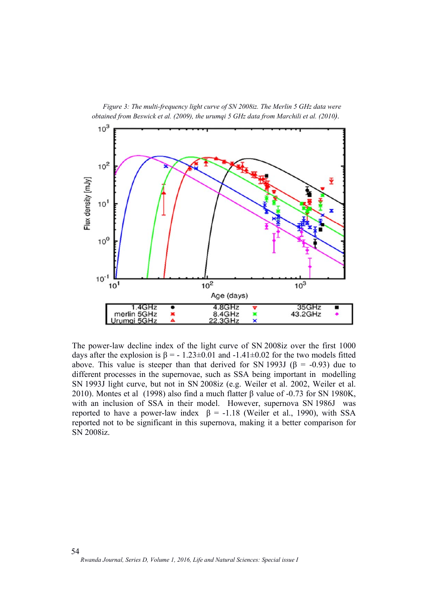*Figure 3: The multi-frequency light curve of SN 2008iz. The Merlin 5 GHz data were obtained from Beswick et al. (2009), the urumqi 5 GHz data from Marchili et al. (2010).* 



The power-law decline index of the light curve of SN 2008iz over the first 1000 days after the explosion is  $\beta = -1.23 \pm 0.01$  and  $-1.41 \pm 0.02$  for the two models fitted above. This value is steeper than that derived for SN 1993J ( $\beta$  = -0.93) due to different processes in the supernovae, such as SSA being important in modelling SN 1993J light curve, but not in SN 2008iz (e.g. Weiler et al. 2002, Weiler et al. 2010). Montes et al (1998) also find a much flatter β value of -0.73 for SN 1980K, with an inclusion of SSA in their model. However, supernova SN 1986J was reported to have a power-law index  $β = -1.18$  (Weiler et al., 1990), with SSA reported not to be significant in this supernova, making it a better comparison for SN 2008iz.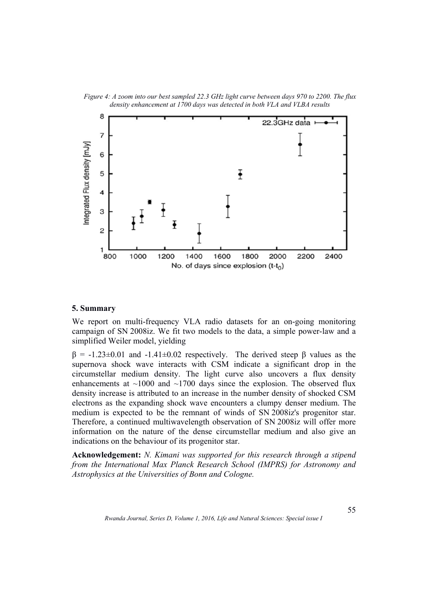

*Figure 4: A zoom into our best sampled 22.3 GHz light curve between days 970 to 2200. The flux density enhancement at 1700 days was detected in both VLA and VLBA results*

## **5. Summary**

We report on multi-frequency VLA radio datasets for an on-going monitoring campaign of SN 2008iz. We fit two models to the data, a simple power-law and a simplified Weiler model, yielding

 $β = -1.23±0.01$  and  $-1.41±0.02$  respectively. The derived steep β values as the supernova shock wave interacts with CSM indicate a significant drop in the circumstellar medium density. The light curve also uncovers a flux density enhancements at  $\sim$ 1000 and  $\sim$ 1700 days since the explosion. The observed flux density increase is attributed to an increase in the number density of shocked CSM electrons as the expanding shock wave encounters a clumpy denser medium. The medium is expected to be the remnant of winds of SN 2008iz's progenitor star. Therefore, a continued multiwavelength observation of SN 2008iz will offer more information on the nature of the dense circumstellar medium and also give an indications on the behaviour of its progenitor star.

**Acknowledgement:** *N. Kimani was supported for this research through a stipend from the International Max Planck Research School (IMPRS) for Astronomy and Astrophysics at the Universities of Bonn and Cologne.*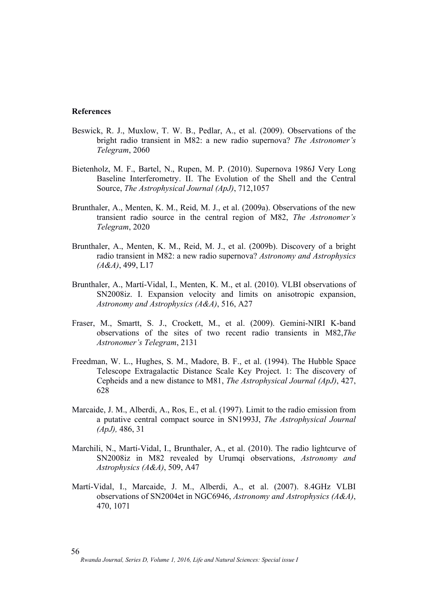#### **References**

- Beswick, R. J., Muxlow, T. W. B., Pedlar, A., et al. (2009). Observations of the bright radio transient in M82: a new radio supernova? *The Astronomer's Telegram*, 2060
- Bietenholz, M. F., Bartel, N., Rupen, M. P. (2010). Supernova 1986J Very Long Baseline Interferometry. II. The Evolution of the Shell and the Central Source, *The Astrophysical Journal (ApJ)*, 712,1057
- Brunthaler, A., Menten, K. M., Reid, M. J., et al. (2009a). Observations of the new transient radio source in the central region of M82, *The Astronomer's Telegram*, 2020
- Brunthaler, A., Menten, K. M., Reid, M. J., et al. (2009b). Discovery of a bright radio transient in M82: a new radio supernova? *Astronomy and Astrophysics (A&A)*, 499, L17
- Brunthaler, A., Martí-Vidal, I., Menten, K. M., et al. (2010). VLBI observations of SN2008iz. I. Expansion velocity and limits on anisotropic expansion, *Astronomy and Astrophysics (A&A)*, 516, A27
- Fraser, M., Smartt, S. J., Crockett, M., et al. (2009). Gemini-NIRI K-band observations of the sites of two recent radio transients in M82,*The Astronomer's Telegram*, 2131
- Freedman, W. L., Hughes, S. M., Madore, B. F., et al. (1994). The Hubble Space Telescope Extragalactic Distance Scale Key Project. 1: The discovery of Cepheids and a new distance to M81, *The Astrophysical Journal (ApJ)*, 427, 628
- Marcaide, J. M., Alberdi, A., Ros, E., et al. (1997). Limit to the radio emission from a putative central compact source in SN1993J, *The Astrophysical Journal (ApJ),* 486, 31
- Marchili, N., Martí-Vidal, I., Brunthaler, A., et al. (2010). The radio lightcurve of SN2008iz in M82 revealed by Urumqi observations, *Astronomy and Astrophysics (A&A)*, 509, A47
- Martí-Vidal, I., Marcaide, J. M., Alberdi, A., et al. (2007). 8.4GHz VLBI observations of SN2004et in NGC6946, *Astronomy and Astrophysics (A&A)*, 470, 1071